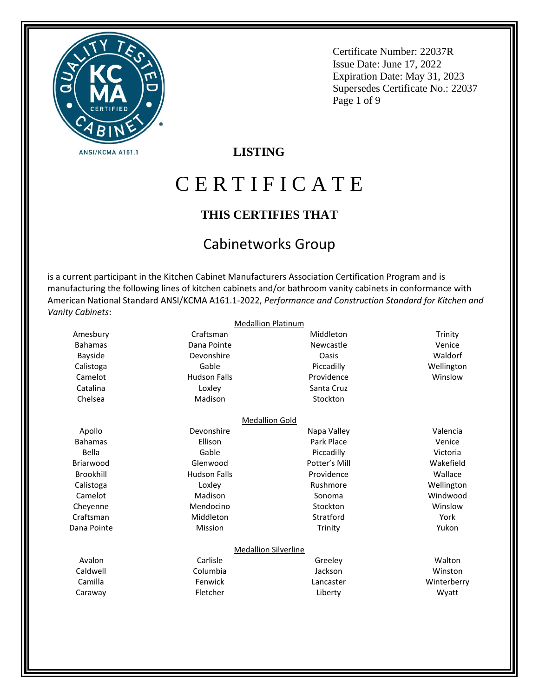

Certificate Number: 22037R Issue Date: June 17, 2022 Expiration Date: May 31, 2023 Supersedes Certificate No.: 22037 Page 1 of 9

## **LISTING**

# C E R T I F I C A T E

## **THIS CERTIFIES THAT**

# Cabinetworks Group

is a current participant in the Kitchen Cabinet Manufacturers Association Certification Program and is manufacturing the following lines of kitchen cabinets and/or bathroom vanity cabinets in conformance with American National Standard ANSI/KCMA A161.1-2022, *Performance and Construction Standard for Kitchen and Vanity Cabinets*:

|                  | <b>Medallion Platinum</b>   |               |             |
|------------------|-----------------------------|---------------|-------------|
| Amesbury         | Craftsman                   | Middleton     | Trinity     |
| <b>Bahamas</b>   | Dana Pointe                 | Newcastle     | Venice      |
| <b>Bayside</b>   | Devonshire                  | Oasis         | Waldorf     |
| Calistoga        | Gable                       | Piccadilly    | Wellington  |
| Camelot          | <b>Hudson Falls</b>         | Providence    | Winslow     |
| Catalina         | Loxley                      | Santa Cruz    |             |
| Chelsea          | Madison                     | Stockton      |             |
|                  | <b>Medallion Gold</b>       |               |             |
| Apollo           | Devonshire                  | Napa Valley   | Valencia    |
| <b>Bahamas</b>   | Ellison                     | Park Place    | Venice      |
| Bella            | Gable                       | Piccadilly    | Victoria    |
| Briarwood        | Glenwood                    | Potter's Mill | Wakefield   |
| <b>Brookhill</b> | <b>Hudson Falls</b>         | Providence    | Wallace     |
| Calistoga        | Loxley                      | Rushmore      | Wellington  |
| Camelot          | Madison                     | Sonoma        | Windwood    |
| Cheyenne         | Mendocino                   | Stockton      | Winslow     |
| Craftsman        | Middleton                   | Stratford     | York        |
| Dana Pointe      | Mission                     | Trinity       | Yukon       |
|                  | <b>Medallion Silverline</b> |               |             |
| Avalon           | Carlisle                    | Greeley       | Walton      |
| Caldwell         | Columbia                    | Jackson       | Winston     |
| Camilla          | Fenwick                     | Lancaster     | Winterberry |
| Caraway          | Fletcher                    | Liberty       | Wyatt       |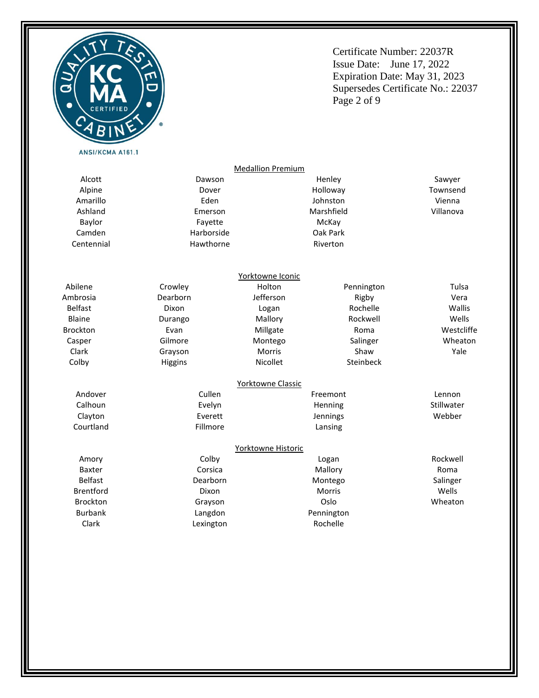

Certificate Number: 22037R Issue Date: June 17, 2022 Expiration Date: May 31, 2023 Supersedes Certificate No.: 22037 Page 2 of 9

|                  |            | <b>Medallion Premium</b> |               |            |
|------------------|------------|--------------------------|---------------|------------|
| Alcott           | Dawson     |                          | Henley        | Sawyer     |
| Alpine           | Dover      |                          | Holloway      | Townsend   |
| Amarillo         | Eden       |                          | Johnston      | Vienna     |
| Ashland          | Emerson    |                          | Marshfield    | Villanova  |
| <b>Baylor</b>    | Fayette    |                          | McKay         |            |
| Camden           | Harborside |                          | Oak Park      |            |
| Centennial       | Hawthorne  |                          | Riverton      |            |
|                  |            | Yorktowne Iconic         |               |            |
| Abilene          | Crowley    | Holton                   | Pennington    | Tulsa      |
| Ambrosia         | Dearborn   | Jefferson                | Rigby         | Vera       |
| <b>Belfast</b>   | Dixon      | Logan                    | Rochelle      | Wallis     |
| <b>Blaine</b>    | Durango    | Mallory                  | Rockwell      | Wells      |
| <b>Brockton</b>  | Evan       | Millgate                 | Roma          | Westcliffe |
| Casper           | Gilmore    | Montego                  | Salinger      | Wheaton    |
| Clark            | Grayson    | Morris                   | Shaw          | Yale       |
| Colby            | Higgins    | Nicollet                 | Steinbeck     |            |
|                  |            | Yorktowne Classic        |               |            |
| Andover          | Cullen     |                          | Freemont      | Lennon     |
| Calhoun          | Evelyn     | Henning                  |               | Stillwater |
| Clayton          | Everett    | Jennings                 |               | Webber     |
| Courtland        | Fillmore   |                          | Lansing       |            |
|                  |            | Yorktowne Historic       |               |            |
| Amory            | Colby      |                          | Logan         | Rockwell   |
| <b>Baxter</b>    | Corsica    | Mallory                  |               | Roma       |
| <b>Belfast</b>   | Dearborn   | Montego                  |               | Salinger   |
| <b>Brentford</b> | Dixon      |                          | <b>Morris</b> | Wells      |
| <b>Brockton</b>  | Grayson    |                          | Oslo          | Wheaton    |
| <b>Burbank</b>   | Langdon    |                          | Pennington    |            |
| Clark            | Lexington  |                          | Rochelle      |            |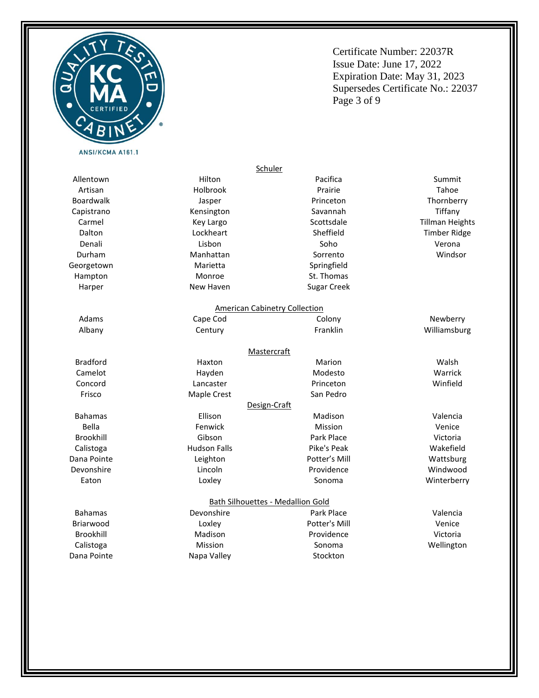

Certificate Number: 22037R Issue Date: June 17, 2022 Expiration Date: May 31, 2023 Supersedes Certificate No.: 22037 Page 3 of 9

|                                  |                    | Schuler                                  |                        |
|----------------------------------|--------------------|------------------------------------------|------------------------|
| Allentown                        | Hilton             | Pacifica                                 | Summit                 |
| Artisan                          | Holbrook           | Prairie                                  | Tahoe                  |
| <b>Boardwalk</b>                 | Jasper             | Princeton                                | Thornberry             |
| Capistrano                       | Kensington         | Savannah                                 | Tiffany                |
| Carmel                           | Key Largo          | Scottsdale                               | <b>Tillman Heights</b> |
| Dalton                           | Lockheart          | Sheffield                                | <b>Timber Ridge</b>    |
| Denali                           | Lisbon             | Soho                                     | Verona                 |
| Durham                           | Manhattan          | Sorrento                                 | Windsor                |
| Georgetown                       | Marietta           | Springfield                              |                        |
| Hampton                          | Monroe             | St. Thomas                               |                        |
| Harper                           | New Haven          | <b>Sugar Creek</b>                       |                        |
|                                  |                    | <b>American Cabinetry Collection</b>     |                        |
| Adams                            | Cape Cod           | Colony                                   | Newberry               |
| Albany                           | Century            | Franklin                                 | Williamsburg           |
|                                  |                    | <b>Mastercraft</b>                       |                        |
| <b>Bradford</b>                  | Haxton             | Marion                                   | Walsh                  |
| Camelot                          | Hayden             | Modesto                                  | Warrick                |
| Concord                          | Lancaster          | Princeton                                | Winfield               |
| Frisco                           | <b>Maple Crest</b> | San Pedro                                |                        |
|                                  |                    | Design-Craft                             |                        |
| <b>Bahamas</b>                   | Ellison            | Madison                                  | Valencia               |
| <b>Bella</b>                     | Fenwick            | Mission                                  | Venice                 |
| <b>Brookhill</b>                 | Gibson             |                                          | Victoria               |
| <b>Hudson Falls</b><br>Calistoga |                    | Pike's Peak                              | Wakefield              |
| Dana Pointe                      | Leighton           |                                          | Wattsburg              |
| Devonshire                       | Lincoln            | Providence                               | Windwood               |
| Eaton                            | Loxley             | Sonoma                                   | Winterberry            |
|                                  |                    | <b>Bath Silhouettes - Medallion Gold</b> |                        |
| <b>Bahamas</b>                   | Devonshire         | Park Place                               | Valencia               |
| Briarwood                        | Loxley             | Potter's Mill                            | Venice                 |
| Brookhill                        | Madison            | Providence                               | Victoria               |
| Calistoga                        | Mission            | Sonoma                                   | Wellington             |
| Dana Pointe                      | Napa Valley        | Stockton                                 |                        |
|                                  |                    |                                          |                        |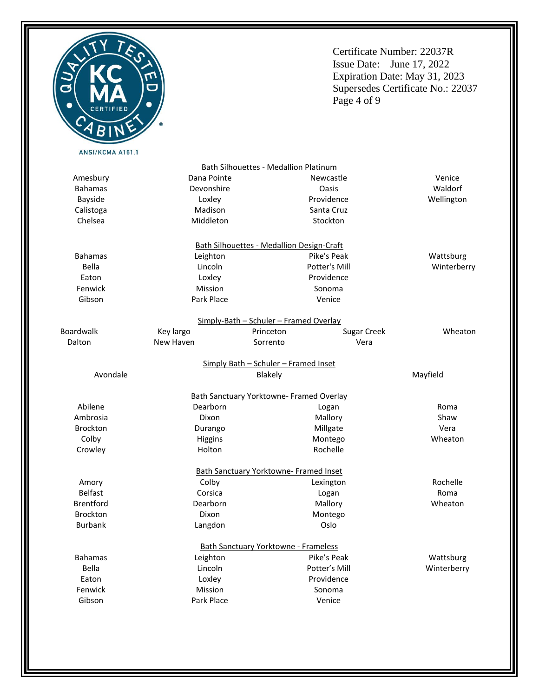

Certificate Number: 22037R Issue Date: June 17, 2022 Expiration Date: May 31, 2023 Supersedes Certificate No.: 22037 Page 4 of 9

> Venice Waldorf Wellington

Bath Silhouettes - Medallion Platinum Amesbury Bahamas Bayside Calistoga Chelsea Dana Pointe Devonshire Loxley Madison Middleton

Key largo

Lincoln Loxley Mission Park Place

Bahamas Bella Eaton Fenwick Gibson

Boardwalk Dalton

> Abilene Ambrosia Brockton Colby Crowley

Amory Belfast Brentford Brockton Burbank

Bath Silhouettes - Medallion Design-Craft Leighton Lincoln Loxley Mission Park Place Pike's Peak Potter's Mill Providence Sonoma Venice Wattsburg Winterberry Simply-Bath – Schuler – Framed Overlay New Haven Princeton Sorrento Sugar Creek Vera Wheaton Simply Bath – Schuler – Framed Inset Avondale Blakely Mayfield Bath Sanctuary Yorktowne- Framed Overlay Dearborn Dixon Durango Higgins Holton Logan Mallory Millgate Montego Rochelle Roma Shaw Vera Wheaton Bath Sanctuary Yorktowne- Framed Inset Colby Corsica Dearborn Dixon Langdon Lexington Logan Mallory Montego Oslo Rochelle Roma Wheaton Bath Sanctuary Yorktowne - Frameless Leighton Pike's Peak

> Potter's Mill Providence Sonoma Venice

Newcastle Oasis Providence Santa Cruz Stockton

Bahamas Bella Eaton Fenwick Gibson

Wattsburg Winterberry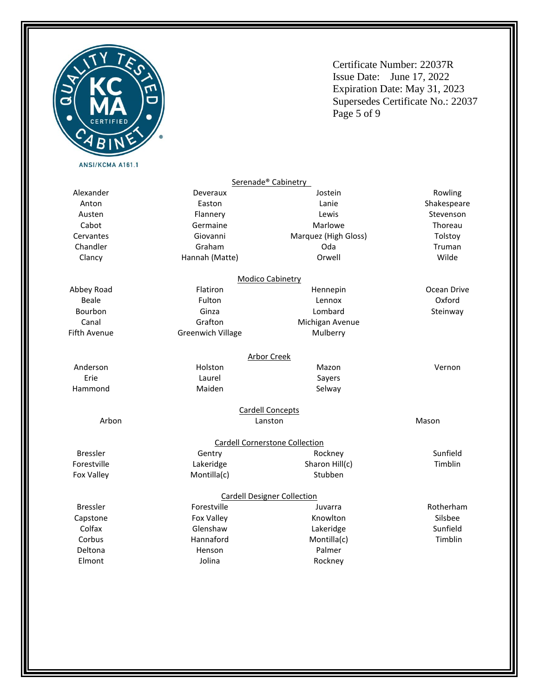

Certificate Number: 22037R Issue Date: June 17, 2022 Expiration Date: May 31, 2023 Supersedes Certificate No.: 22037 Page 5 of 9

|                     |                          | Serenade <sup>®</sup> Cabinetry       |             |
|---------------------|--------------------------|---------------------------------------|-------------|
| Alexander           | Deveraux                 | Jostein                               | Rowling     |
| Anton               | Easton                   | Lanie                                 | Shakespeare |
| Austen              | Flannery                 | Lewis                                 | Stevenson   |
| Cabot               | Germaine                 | Marlowe                               | Thoreau     |
| Cervantes           | Giovanni                 | Marquez (High Gloss)                  | Tolstoy     |
| Chandler            | Graham                   | Oda                                   | Truman      |
| Clancy              | Hannah (Matte)           | Orwell                                | Wilde       |
|                     |                          | <b>Modico Cabinetry</b>               |             |
| Abbey Road          | Flatiron                 | Hennepin                              | Ocean Drive |
| <b>Beale</b>        | Fulton                   | Lennox                                | Oxford      |
| Bourbon             | Ginza                    | Lombard                               | Steinway    |
| Canal               | Grafton                  | Michigan Avenue                       |             |
| <b>Fifth Avenue</b> | <b>Greenwich Village</b> | Mulberry                              |             |
|                     |                          | <b>Arbor Creek</b>                    |             |
| Anderson            | Holston                  | Mazon                                 | Vernon      |
| Erie                | Laurel                   | Sayers                                |             |
| Hammond             | Maiden                   | Selway                                |             |
|                     |                          | <b>Cardell Concepts</b>               |             |
| Arbon               |                          | Lanston                               | Mason       |
|                     |                          | <b>Cardell Cornerstone Collection</b> |             |
| <b>Bressler</b>     | Gentry                   | Rockney                               | Sunfield    |
| Forestville         | Lakeridge                | Sharon Hill(c)                        | Timblin     |
| <b>Fox Valley</b>   | Montilla(c)              | Stubben                               |             |
|                     |                          | <b>Cardell Designer Collection</b>    |             |
| <b>Bressler</b>     | Forestville              | Juvarra                               | Rotherham   |
| Capstone            | Fox Valley               | Knowlton                              | Silsbee     |
| Colfax              | Glenshaw                 | Lakeridge                             | Sunfield    |
| Corbus              | Hannaford                | Montilla(c)                           | Timblin     |
| Deltona             | Henson                   | Palmer                                |             |
| Elmont              | Jolina                   | Rockney                               |             |
|                     |                          |                                       |             |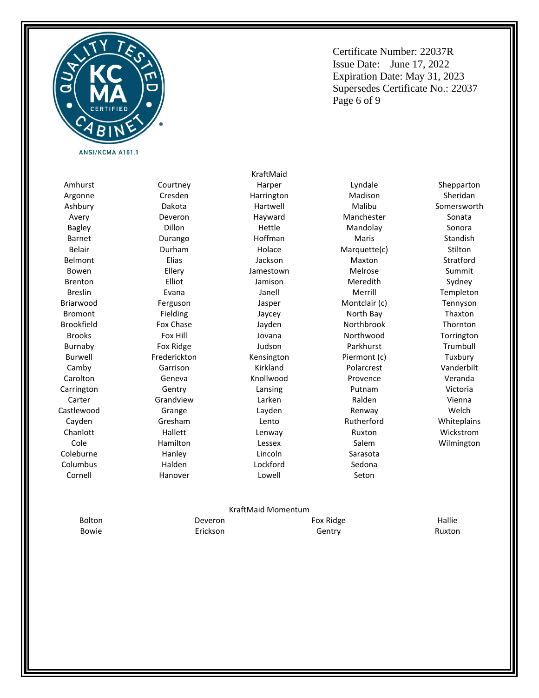

Certificate Number: 22037R Issue Date: June 17, 2022 Expiration Date: May 31, 2023 Supersedes Certificate No.: 22037 Page 6 of 9

Amhurst Argonne Ashbury Avery Bagley Barnet Belair Belmont Bowen Brenton Breslin Briarwood Bromont Brookfield Brooks Burnaby Burwell Camby Carolton Carrington Carter Castlewood Cayden Chanlott Cole Coleburne Columbus Cornell

Courtney Cresden Dakota Deveron Dillon Durango Durham Elias Ellery Elliot Evana Ferguson Fielding Fox Chase Fox Hill Fox Ridge Frederickton Garrison Geneva Gentry Grandview Grange Gresham Hallett Hamilton Hanley Halden Hanover

Harper Harrington Hartwell Hayward Hettle Hoffman Holace Jackson Jamestown Jamison Janell Jasper Jaycey Jayden Jovana Judson Kensington Kirkland Knollwood Lansing Larken Layden Lento Lenway Lessex Lincoln Lockford Lowell

KraftMaid

Lyndale Madison Malibu Manchester Mandolay Maris Marquette(c) Maxton Melrose Meredith Merrill Montclair (c) North Bay Northbrook Northwood Parkhurst Piermont (c) Polarcrest Provence Putnam Ralden Renway Rutherford Ruxton Salem Sarasota Sedona Seton

Shepparton Sheridan Somersworth Sonata Sonora Standish **Stilton** Stratford Summit Sydney Templeton Tennyson Thaxton Thornton Torrington Trumbull Tuxbury Vanderbilt Veranda Victoria Vienna Welch **Whiteplains** Wickstrom Wilmington

#### KraftMaid Momentum

Bolton Bowie Deveron Erickson Fox Ridge Gentry

Hallie Ruxton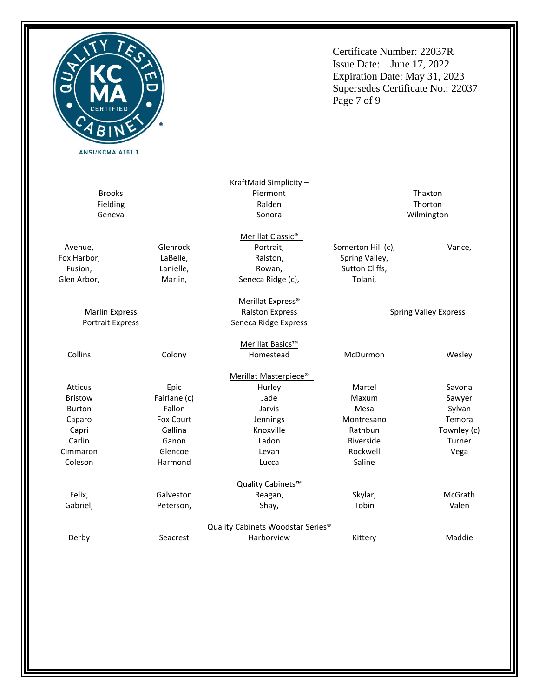

Certificate Number: 22037R Issue Date: June 17, 2022 Expiration Date: May 31, 2023 Supersedes Certificate No.: 22037 Page 7 of 9

|                           |              | KraftMaid Simplicity-                         |                    |                              |
|---------------------------|--------------|-----------------------------------------------|--------------------|------------------------------|
| <b>Brooks</b><br>Piermont |              |                                               | Thaxton            |                              |
| Fielding                  | Ralden       |                                               |                    | Thorton                      |
| Geneva                    |              | Sonora                                        | Wilmington         |                              |
|                           |              | Merillat Classic <sup>®</sup>                 |                    |                              |
| Avenue,                   | Glenrock     | Portrait,                                     | Somerton Hill (c), | Vance,                       |
| Fox Harbor,               | LaBelle,     | Ralston,                                      | Spring Valley,     |                              |
| Fusion,                   | Lanielle,    | Rowan,                                        | Sutton Cliffs,     |                              |
| Glen Arbor,               | Marlin,      | Seneca Ridge (c),                             | Tolani,            |                              |
|                           |              | Merillat Express <sup>®</sup>                 |                    |                              |
| <b>Marlin Express</b>     |              | <b>Ralston Express</b>                        |                    | <b>Spring Valley Express</b> |
| Portrait Express          |              | Seneca Ridge Express                          |                    |                              |
|                           |              | Merillat Basics™                              |                    |                              |
| Collins                   | Colony       | Homestead                                     | McDurmon           | Wesley                       |
|                           |              | Merillat Masterpiece <sup>®</sup>             |                    |                              |
| <b>Atticus</b>            | Epic         | Hurley                                        | Martel             | Savona                       |
| <b>Bristow</b>            | Fairlane (c) | Jade                                          | Maxum              | Sawyer                       |
| <b>Burton</b>             | Fallon       | Jarvis                                        | Mesa               | Sylvan                       |
| Caparo                    | Fox Court    | Jennings                                      | Montresano         | Temora                       |
| Capri                     | Gallina      | Knoxville                                     | Rathbun            | Townley (c)                  |
| Carlin                    | Ganon        | Ladon                                         | Riverside          | Turner                       |
| Cimmaron                  | Glencoe      | Levan                                         | Rockwell           | Vega                         |
| Coleson                   | Harmond      | Lucca                                         | Saline             |                              |
|                           |              | Quality Cabinets™                             |                    |                              |
| Felix,                    | Galveston    | Reagan,                                       | Skylar,            | McGrath                      |
| Gabriel,                  | Peterson,    | Shay,                                         | Tobin              | Valen                        |
|                           |              | Quality Cabinets Woodstar Series <sup>®</sup> |                    |                              |
| Derby                     | Seacrest     | Harborview                                    | Kittery            | Maddie                       |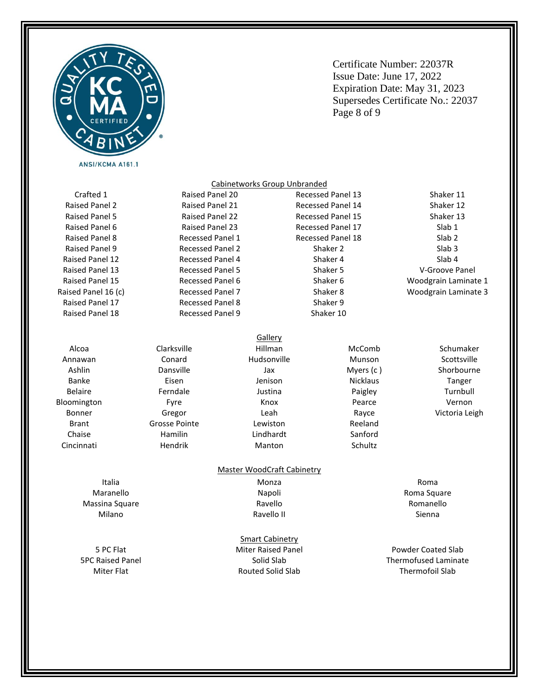

Certificate Number: 22037R Issue Date: June 17, 2022 Expiration Date: May 31, 2023 Supersedes Certificate No.: 22037 Page 8 of 9

Crafted 1 Raised Panel 2 Raised Panel 5 Raised Panel 6 Raised Panel 8 Raised Panel 9 Raised Panel 12 Raised Panel 13 Raised Panel 15 Raised Panel 16 (c) Raised Panel 17 Raised Panel 18

Alcoa Annawan Ashlin Banke Belaire Bloomington Bonner Brant Chaise Cincinnati

Raised Panel 21 Raised Panel 22 Raised Panel 23 Recessed Panel 1 Recessed Panel 2 Recessed Panel 4 Recessed Panel 5 Recessed Panel 6 Recessed Panel 7 Recessed Panel 8 Recessed Panel 9

Raised Panel 20

Recessed Panel 14 Recessed Panel 15 Recessed Panel 17 Recessed Panel 18 Shaker 2 Shaker 4 Shaker 5 Shaker 6 Shaker 8 Shaker 9 Shaker 10

Recessed Panel 13

McComb Munson Myers (c ) Nicklaus Paigley Pearce Rayce Reeland Sanford

Schultz

Shaker 12 Shaker 13 Slab 1 Slab 2 Slab 3 Slab 4 V-Groove Panel Woodgrain Laminate 1 Woodgrain Laminate 3

> Schumaker Scottsville Shorbourne Tanger Turnbull Vernon Victoria Leigh

Shaker 11

Italia Maranello Massina Square Milano

5 PC Flat 5PC Raised Panel Miter Flat

Clarksville Conard Dansville Eisen Ferndale Fyre Gregor Grosse Pointe Hamilin Hendrik

Hillman Hudsonville Jax Jenison Justina Knox Leah Lewiston Lindhardt Manton

**Gallery** 

Cabinetworks Group Unbranded

### Master WoodCraft Cabinetry

Monza Napoli Ravello Ravello II

### Smart Cabinetry Miter Raised Panel

Solid Slab Routed Solid Slab Roma

Roma Square Romanello Sienna

Powder Coated Slab Thermofused Laminate Thermofoil Slab